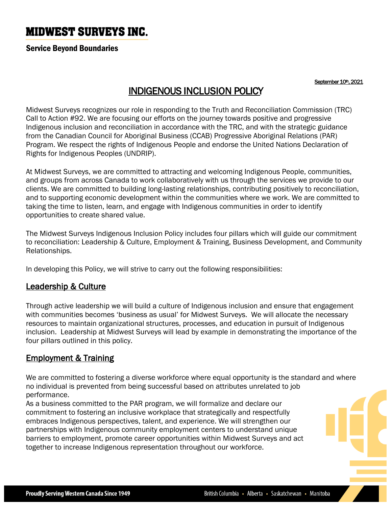# **MIDWEST SURVEYS INC.**

#### Service Beyond Boundaries

September 10th, 2021

# INDIGENOUS INCLUSION POLICY

Midwest Surveys recognizes our role in responding to the Truth and Reconciliation Commission (TRC) Call to Action #92. We are focusing our efforts on the journey towards positive and progressive Indigenous inclusion and reconciliation in accordance with the TRC, and with the strategic guidance from the Canadian Council for Aboriginal Business (CCAB) Progressive Aboriginal Relations (PAR) Program. We respect the rights of Indigenous People and endorse the United Nations Declaration of Rights for Indigenous Peoples (UNDRIP).

At Midwest Surveys, we are committed to attracting and welcoming Indigenous People, communities, and groups from across Canada to work collaboratively with us through the services we provide to our clients. We are committed to building long-lasting relationships, contributing positively to reconciliation, and to supporting economic development within the communities where we work. We are committed to taking the time to listen, learn, and engage with Indigenous communities in order to identify opportunities to create shared value.

The Midwest Surveys Indigenous Inclusion Policy includes four pillars which will guide our commitment to reconciliation: Leadership & Culture, Employment & Training, Business Development, and Community Relationships.

In developing this Policy, we will strive to carry out the following responsibilities:

#### Leadership & Culture

Through active leadership we will build a culture of Indigenous inclusion and ensure that engagement with communities becomes 'business as usual' for Midwest Surveys. We will allocate the necessary resources to maintain organizational structures, processes, and education in pursuit of Indigenous inclusion. Leadership at Midwest Surveys will lead by example in demonstrating the importance of the four pillars outlined in this policy.

### **Employment & Training**

We are committed to fostering a diverse workforce where equal opportunity is the standard and where no individual is prevented from being successful based on attributes unrelated to job performance.

As a business committed to the PAR program, we will formalize and declare our commitment to fostering an inclusive workplace that strategically and respectfully embraces Indigenous perspectives, talent, and experience. We will strengthen our partnerships with Indigenous community employment centers to understand unique barriers to employment, promote career opportunities within Midwest Surveys and act together to increase Indigenous representation throughout our workforce.